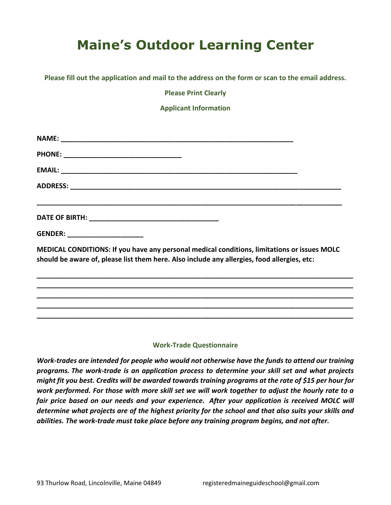## **Maine's Outdoor Learning Center**

**Please fill out the application and mail to the address on the form or scan to the email address.**

**Please Print Clearly**

**Applicant Information**

| GENDER: ______________________                                                                                                                                                             |  |
|--------------------------------------------------------------------------------------------------------------------------------------------------------------------------------------------|--|
| MEDICAL CONDITIONS: If you have any personal medical conditions, limitations or issues MOLC<br>should be aware of, please list them here. Also include any allergies, food allergies, etc: |  |
|                                                                                                                                                                                            |  |
|                                                                                                                                                                                            |  |

## **Work-Trade Questionnaire**

**\_\_\_\_\_\_\_\_\_\_\_\_\_\_\_\_\_\_\_\_\_\_\_\_\_\_\_\_\_\_\_\_\_\_\_\_\_\_\_\_\_\_\_\_\_\_\_\_\_\_\_\_\_\_\_\_\_\_\_\_\_\_\_\_\_\_\_\_\_\_\_\_\_\_\_\_\_\_\_\_\_\_\_**

*Work-trades are intended for people who would not otherwise have the funds to attend our training programs. The work-trade is an application process to determine your skill set and what projects might fit you best. Credits will be awarded towards training programs at the rate of \$15 per hour for work performed. For those with more skill set we will work together to adjust the hourly rate to a fair price based on our needs and your experience. After your application is received MOLC will determine what projects are of the highest priority for the school and that also suits your skills and abilities. The work-trade must take place before any training program begins, and not after.*